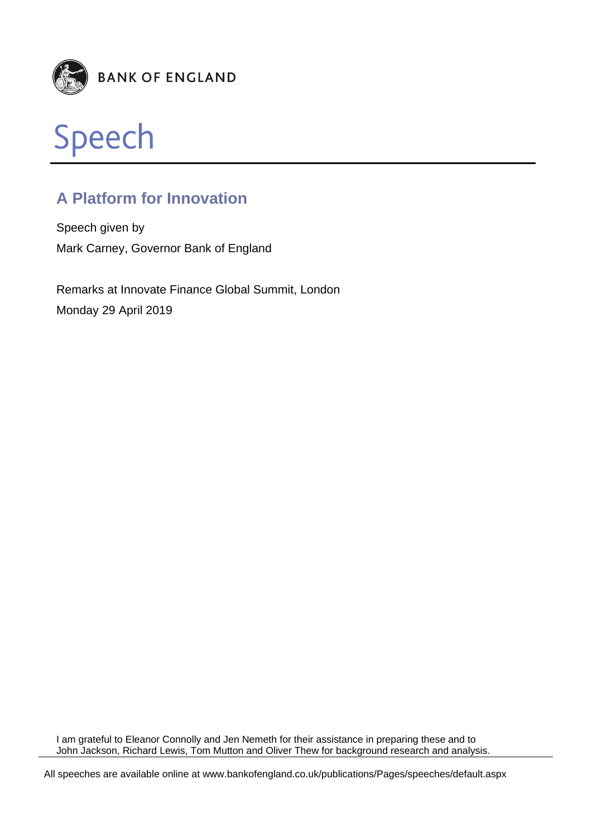



# **A Platform for Innovation**

Speech given by Mark Carney, Governor Bank of England

Remarks at Innovate Finance Global Summit, London Monday 29 April 2019

I am grateful to Eleanor Connolly and Jen Nemeth for their assistance in preparing these and to John Jackson, Richard Lewis, Tom Mutton and Oliver Thew for background research and analysis.

All speeches are available online at www.bankofengland.co.uk/publications/Pages/speeches/default.aspx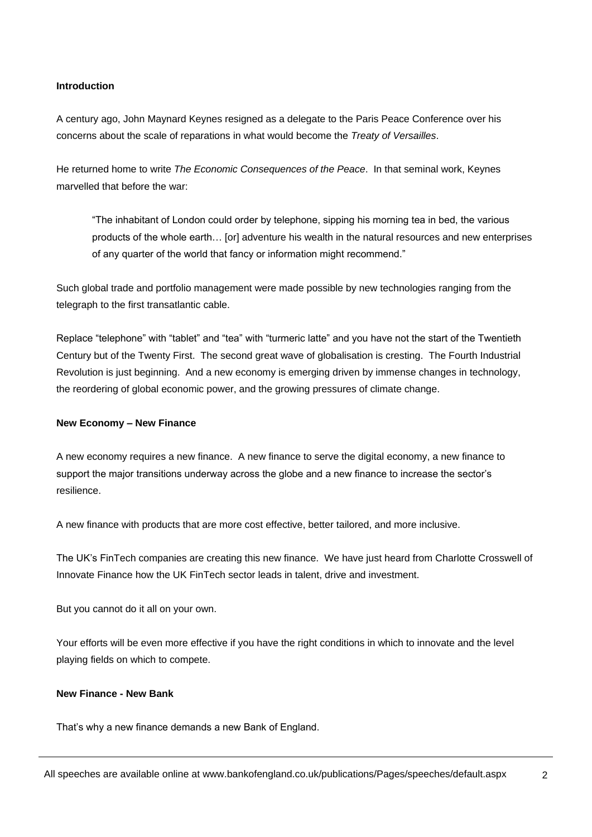#### **Introduction**

A century ago, John Maynard Keynes resigned as a delegate to the Paris Peace Conference over his concerns about the scale of reparations in what would become the *Treaty of Versailles*.

He returned home to write *The Economic Consequences of the Peace*. In that seminal work, Keynes marvelled that before the war:

"The inhabitant of London could order by telephone, sipping his morning tea in bed, the various products of the whole earth… [or] adventure his wealth in the natural resources and new enterprises of any quarter of the world that fancy or information might recommend."

Such global trade and portfolio management were made possible by new technologies ranging from the telegraph to the first transatlantic cable.

Replace "telephone" with "tablet" and "tea" with "turmeric latte" and you have not the start of the Twentieth Century but of the Twenty First. The second great wave of globalisation is cresting. The Fourth Industrial Revolution is just beginning. And a new economy is emerging driven by immense changes in technology, the reordering of global economic power, and the growing pressures of climate change.

#### **New Economy – New Finance**

A new economy requires a new finance. A new finance to serve the digital economy, a new finance to support the major transitions underway across the globe and a new finance to increase the sector's resilience.

A new finance with products that are more cost effective, better tailored, and more inclusive.

The UK's FinTech companies are creating this new finance. We have just heard from Charlotte Crosswell of Innovate Finance how the UK FinTech sector leads in talent, drive and investment.

But you cannot do it all on your own.

Your efforts will be even more effective if you have the right conditions in which to innovate and the level playing fields on which to compete.

### **New Finance - New Bank**

That's why a new finance demands a new Bank of England.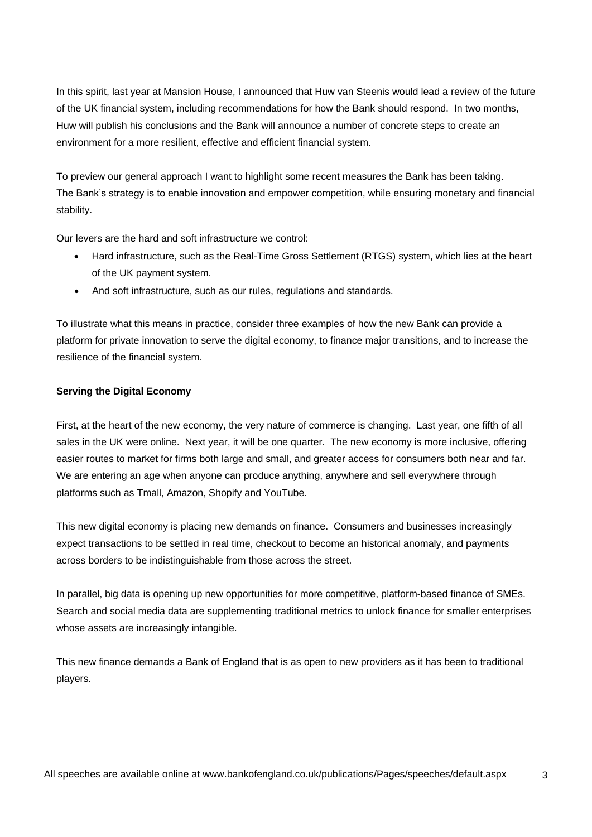In this spirit, last year at Mansion House, I announced that Huw van Steenis would lead a review of the future of the UK financial system, including recommendations for how the Bank should respond. In two months, Huw will publish his conclusions and the Bank will announce a number of concrete steps to create an environment for a more resilient, effective and efficient financial system.

To preview our general approach I want to highlight some recent measures the Bank has been taking. The Bank's strategy is to enable innovation and empower competition, while ensuring monetary and financial stability.

Our levers are the hard and soft infrastructure we control:

- Hard infrastructure, such as the Real-Time Gross Settlement (RTGS) system, which lies at the heart of the UK payment system.
- And soft infrastructure, such as our rules, regulations and standards.

To illustrate what this means in practice, consider three examples of how the new Bank can provide a platform for private innovation to serve the digital economy, to finance major transitions, and to increase the resilience of the financial system.

## **Serving the Digital Economy**

First, at the heart of the new economy, the very nature of commerce is changing. Last year, one fifth of all sales in the UK were online. Next year, it will be one quarter. The new economy is more inclusive, offering easier routes to market for firms both large and small, and greater access for consumers both near and far. We are entering an age when anyone can produce anything, anywhere and sell everywhere through platforms such as Tmall, Amazon, Shopify and YouTube.

This new digital economy is placing new demands on finance. Consumers and businesses increasingly expect transactions to be settled in real time, checkout to become an historical anomaly, and payments across borders to be indistinguishable from those across the street.

In parallel, big data is opening up new opportunities for more competitive, platform-based finance of SMEs. Search and social media data are supplementing traditional metrics to unlock finance for smaller enterprises whose assets are increasingly intangible.

This new finance demands a Bank of England that is as open to new providers as it has been to traditional players.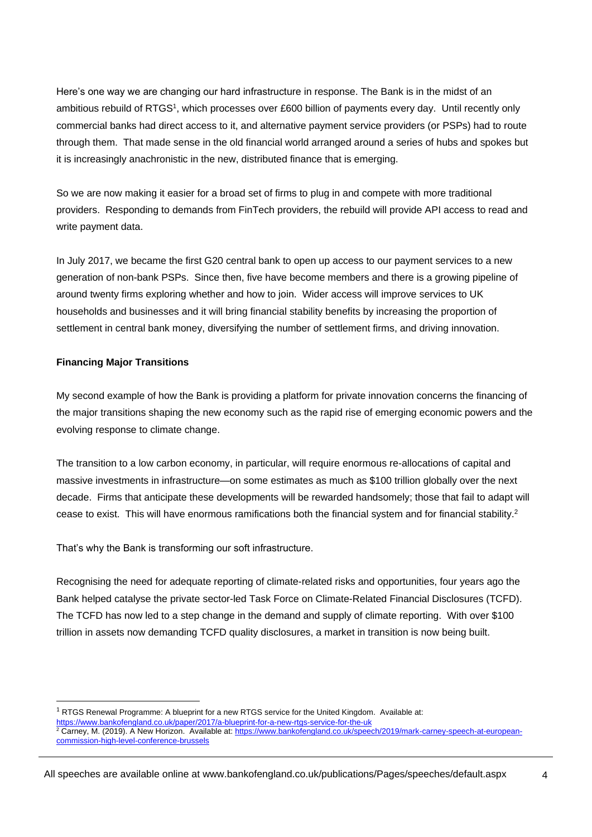Here's one way we are changing our hard infrastructure in response. The Bank is in the midst of an ambitious rebuild of RTGS<sup>1</sup>, which processes over £600 billion of payments every day. Until recently only commercial banks had direct access to it, and alternative payment service providers (or PSPs) had to route through them. That made sense in the old financial world arranged around a series of hubs and spokes but it is increasingly anachronistic in the new, distributed finance that is emerging.

So we are now making it easier for a broad set of firms to plug in and compete with more traditional providers. Responding to demands from FinTech providers, the rebuild will provide API access to read and write payment data.

In July 2017, we became the first G20 central bank to open up access to our payment services to a new generation of non-bank PSPs. Since then, five have become members and there is a growing pipeline of around twenty firms exploring whether and how to join. Wider access will improve services to UK households and businesses and it will bring financial stability benefits by increasing the proportion of settlement in central bank money, diversifying the number of settlement firms, and driving innovation.

## **Financing Major Transitions**

l

My second example of how the Bank is providing a platform for private innovation concerns the financing of the major transitions shaping the new economy such as the rapid rise of emerging economic powers and the evolving response to climate change.

The transition to a low carbon economy, in particular, will require enormous re-allocations of capital and massive investments in infrastructure—on some estimates as much as \$100 trillion globally over the next decade. Firms that anticipate these developments will be rewarded handsomely; those that fail to adapt will cease to exist. This will have enormous ramifications both the financial system and for financial stability.<sup>2</sup>

That's why the Bank is transforming our soft infrastructure.

Recognising the need for adequate reporting of climate-related risks and opportunities, four years ago the Bank helped catalyse the private sector-led Task Force on Climate-Related Financial Disclosures (TCFD). The TCFD has now led to a step change in the demand and supply of climate reporting. With over \$100 trillion in assets now demanding TCFD quality disclosures, a market in transition is now being built.

 $1$  RTGS Renewal Programme: A blueprint for a new RTGS service for the United Kingdom. Available at: <https://www.bankofengland.co.uk/paper/2017/a-blueprint-for-a-new-rtgs-service-for-the-uk>

 $2 \text{ Carney}$ , M. (2019). A New Horizon. Available at[: https://www.bankofengland.co.uk/speech/2019/mark-carney-speech-at-european](https://www.bankofengland.co.uk/speech/2019/mark-carney-speech-at-european-commission-high-level-conference-brussels)[commission-high-level-conference-brussels](https://www.bankofengland.co.uk/speech/2019/mark-carney-speech-at-european-commission-high-level-conference-brussels)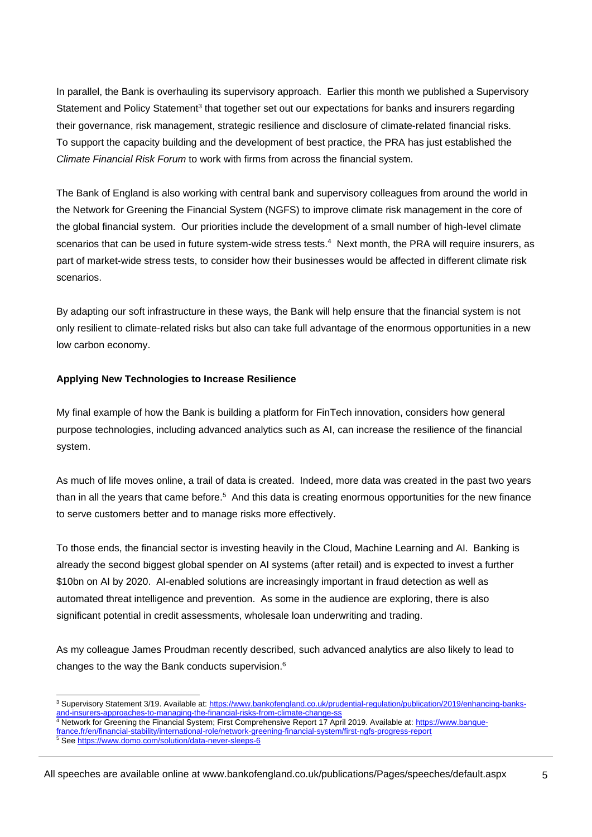In parallel, the Bank is overhauling its supervisory approach. Earlier this month we published a Supervisory Statement and Policy Statement<sup>3</sup> that together set out our expectations for banks and insurers regarding their governance, risk management, strategic resilience and disclosure of climate-related financial risks. To support the capacity building and the development of best practice, the PRA has just established the *Climate Financial Risk Forum* to work with firms from across the financial system.

The Bank of England is also working with central bank and supervisory colleagues from around the world in the Network for Greening the Financial System (NGFS) to improve climate risk management in the core of the global financial system. Our priorities include the development of a small number of high-level climate scenarios that can be used in future system-wide stress tests.<sup>4</sup> Next month, the PRA will require insurers, as part of market-wide stress tests, to consider how their businesses would be affected in different climate risk scenarios.

By adapting our soft infrastructure in these ways, the Bank will help ensure that the financial system is not only resilient to climate-related risks but also can take full advantage of the enormous opportunities in a new low carbon economy.

## **Applying New Technologies to Increase Resilience**

My final example of how the Bank is building a platform for FinTech innovation, considers how general purpose technologies, including advanced analytics such as AI, can increase the resilience of the financial system.

As much of life moves online, a trail of data is created. Indeed, more data was created in the past two years than in all the years that came before.<sup>5</sup> And this data is creating enormous opportunities for the new finance to serve customers better and to manage risks more effectively.

To those ends, the financial sector is investing heavily in the Cloud, Machine Learning and AI. Banking is already the second biggest global spender on AI systems (after retail) and is expected to invest a further \$10bn on AI by 2020. AI-enabled solutions are increasingly important in fraud detection as well as automated threat intelligence and prevention. As some in the audience are exploring, there is also significant potential in credit assessments, wholesale loan underwriting and trading.

As my colleague James Proudman recently described, such advanced analytics are also likely to lead to changes to the way the Bank conducts supervision.<sup>6</sup>

<sup>4</sup> Network for Greening the Financial System; First Comprehensive Report 17 April 2019. Available at: [https://www.banque-](https://www.banque-france.fr/en/financial-stability/international-role/network-greening-financial-system/first-ngfs-progress-report)

l <sup>3</sup> Supervisory Statement 3/19. Available at[: https://www.bankofengland.co.uk/prudential-regulation/publication/2019/enhancing-banks-](https://www.bankofengland.co.uk/prudential-regulation/publication/2019/enhancing-banks-and-insurers-approaches-to-managing-the-financial-risks-from-climate-change-ss)-approaches-to-managing-the-financial-risks-from-climate-change-ss

[france.fr/en/financial-stability/international-role/network-greening-financial-system/first-ngfs-progress-report](https://www.banque-france.fr/en/financial-stability/international-role/network-greening-financial-system/first-ngfs-progress-report)

<sup>&</sup>lt;sup>5</sup> See<https://www.domo.com/solution/data-never-sleeps-6>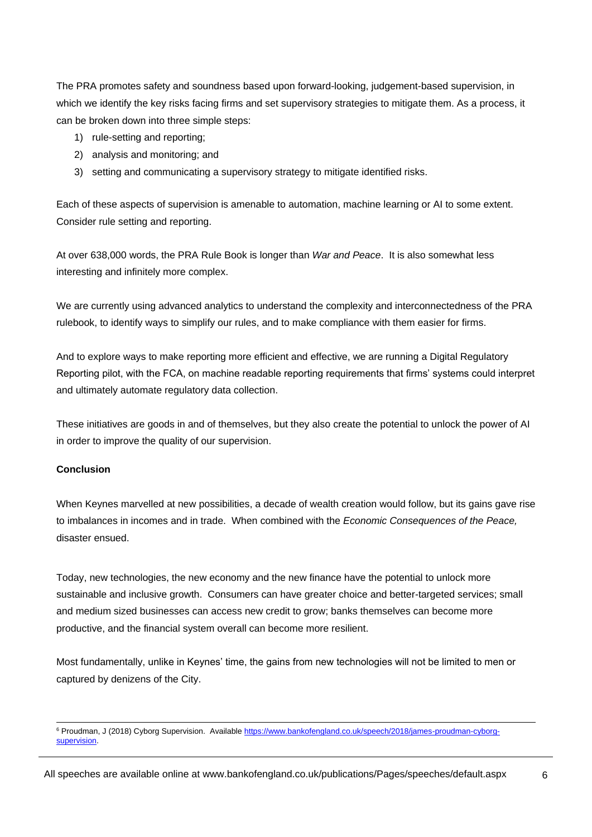The PRA promotes safety and soundness based upon forward-looking, judgement-based supervision, in which we identify the key risks facing firms and set supervisory strategies to mitigate them. As a process, it can be broken down into three simple steps:

- 1) rule-setting and reporting;
- 2) analysis and monitoring; and
- 3) setting and communicating a supervisory strategy to mitigate identified risks.

Each of these aspects of supervision is amenable to automation, machine learning or AI to some extent. Consider rule setting and reporting.

At over 638,000 words, the PRA Rule Book is longer than *War and Peace*. It is also somewhat less interesting and infinitely more complex.

We are currently using advanced analytics to understand the complexity and interconnectedness of the PRA rulebook, to identify ways to simplify our rules, and to make compliance with them easier for firms.

And to explore ways to make reporting more efficient and effective, we are running a Digital Regulatory Reporting pilot, with the FCA, on machine readable reporting requirements that firms' systems could interpret and ultimately automate regulatory data collection.

These initiatives are goods in and of themselves, but they also create the potential to unlock the power of AI in order to improve the quality of our supervision.

#### **Conclusion**

l

When Keynes marvelled at new possibilities, a decade of wealth creation would follow, but its gains gave rise to imbalances in incomes and in trade. When combined with the *Economic Consequences of the Peace,*  disaster ensued.

Today, new technologies, the new economy and the new finance have the potential to unlock more sustainable and inclusive growth. Consumers can have greater choice and better-targeted services; small and medium sized businesses can access new credit to grow; banks themselves can become more productive, and the financial system overall can become more resilient.

Most fundamentally, unlike in Keynes' time, the gains from new technologies will not be limited to men or captured by denizens of the City.

<sup>6</sup> Proudman, J (2018) Cyborg Supervision. Available [https://www.bankofengland.co.uk/speech/2018/james-proudman-cyborg](https://www.bankofengland.co.uk/speech/2018/james-proudman-cyborg-supervision)[supervision.](https://www.bankofengland.co.uk/speech/2018/james-proudman-cyborg-supervision)